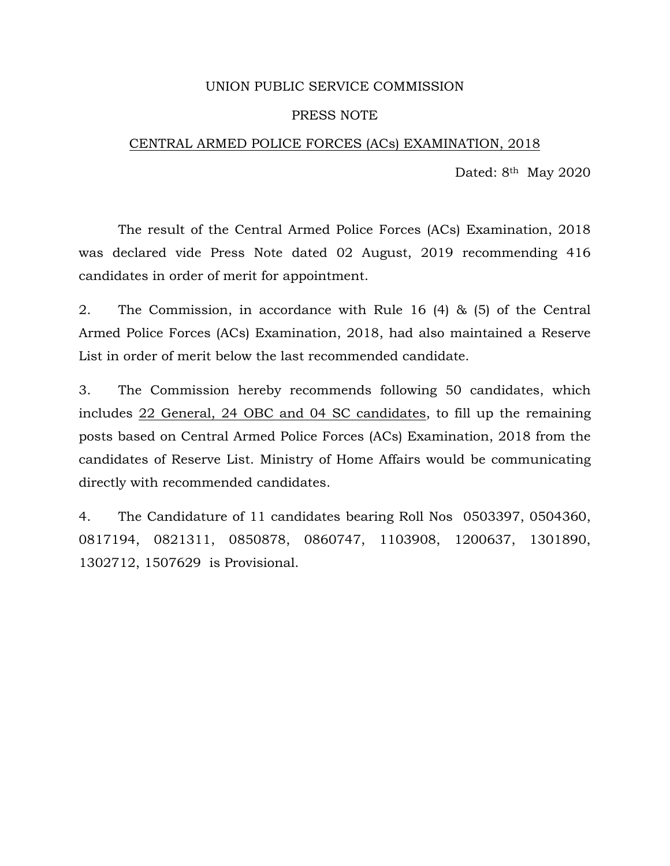### UNION PUBLIC SERVICE COMMISSION

### PRESS NOTE

### CENTRAL ARMED POLICE FORCES (ACs) EXAMINATION, 2018

Dated: 8<sup>th</sup> May 2020

 The result of the Central Armed Police Forces (ACs) Examination, 2018 was declared vide Press Note dated 02 August, 2019 recommending 416 candidates in order of merit for appointment.

2. The Commission, in accordance with Rule 16 (4) & (5) of the Central Armed Police Forces (ACs) Examination, 2018, had also maintained a Reserve List in order of merit below the last recommended candidate.

3. The Commission hereby recommends following 50 candidates, which includes 22 General, 24 OBC and 04 SC candidates, to fill up the remaining posts based on Central Armed Police Forces (ACs) Examination, 2018 from the candidates of Reserve List. Ministry of Home Affairs would be communicating directly with recommended candidates.

4. The Candidature of 11 candidates bearing Roll Nos 0503397, 0504360, 0817194, 0821311, 0850878, 0860747, 1103908, 1200637, 1301890, 1302712, 1507629 is Provisional.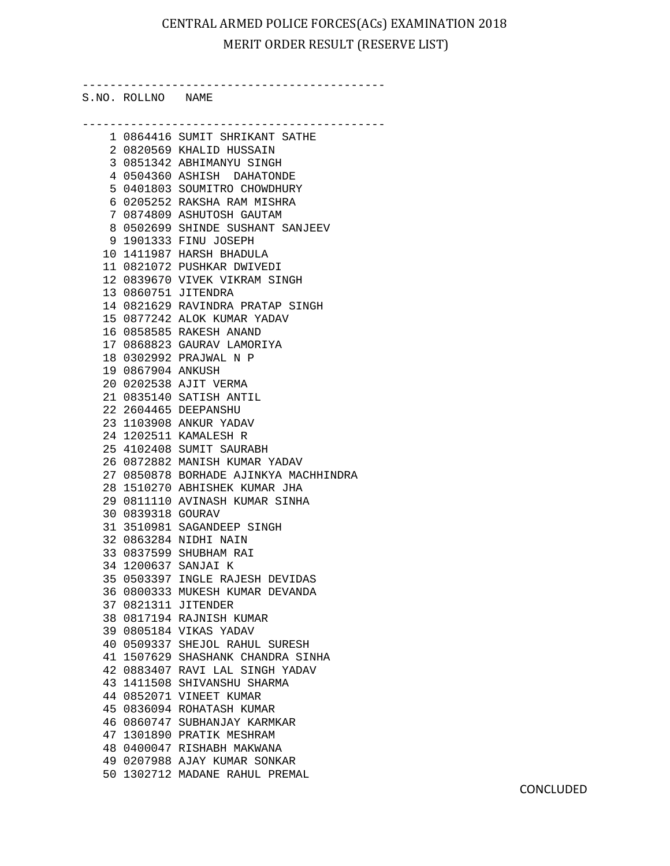# CENTRAL ARMED POLICE FORCES(ACs) EXAMINATION 2018 MERIT ORDER RESULT (RESERVE LIST)

--------------------------------------------

S.NO. ROLLNO NAME

|    |                     | 1 0864416 SUMIT SHRIKANT SATHE                  |
|----|---------------------|-------------------------------------------------|
|    |                     | 2 0820569 KHALID HUSSAIN                        |
|    |                     | 3 0851342 ABHIMANYU SINGH                       |
|    |                     | 4 0504360 ASHISH DAHATONDE                      |
|    |                     | 5 0401803 SOUMITRO CHOWDHURY                    |
|    |                     | 6 0205252 RAKSHA RAM MISHRA                     |
|    | 7                   | 0874809 ASHUTOSH GAUTAM                         |
|    |                     | 8 0502699 SHINDE SUSHANT SANJEEV                |
|    |                     | 9 1901333 FINU JOSEPH                           |
|    |                     | 10 1411987 HARSH BHADULA                        |
|    |                     | 11 0821072 PUSHKAR DWIVEDI                      |
|    |                     | 12 0839670 VIVEK VIKRAM SINGH                   |
|    |                     | 13 0860751 JITENDRA                             |
|    |                     | 14 0821629 RAVINDRA PRATAP SINGH                |
|    |                     | 15 0877242 ALOK KUMAR YADAV                     |
|    |                     | 16 0858585 RAKESH ANAND                         |
|    |                     | 17 0868823 GAURAV LAMORIYA                      |
|    |                     | 18 0302992 PRAJWAL N P                          |
|    | 19 0867904 ANKUSH   |                                                 |
|    |                     | 20 0202538 AJIT VERMA                           |
|    |                     | 21 0835140 SATISH ANTIL                         |
|    |                     | 22 2604465 DEEPANSHU                            |
|    |                     |                                                 |
|    |                     | 23 1103908 ANKUR YADAV<br>24 1202511 KAMALESH R |
|    |                     | 25 4102408 SUMIT SAURABH                        |
|    |                     | 26 0872882 MANISH KUMAR YADAV                   |
|    |                     | 27 0850878 BORHADE AJINKYA MACHHINDRA           |
|    |                     | 28 1510270 ABHISHEK KUMAR JHA                   |
|    |                     | 29 0811110 AVINASH KUMAR SINHA                  |
|    | 30 0839318 GOURAV   |                                                 |
|    |                     | 31 3510981 SAGANDEEP SINGH                      |
|    |                     | 32 0863284 NIDHI NAIN                           |
|    |                     | 33 0837599 SHUBHAM RAI                          |
|    | 34 1200637 SANJAI K |                                                 |
|    |                     | 35 0503397 INGLE RAJESH DEVIDAS                 |
|    |                     | 36 0800333 MUKESH KUMAR DEVANDA                 |
|    | 37 0821311 JITENDER |                                                 |
|    |                     | 38 0817194 RAJNISH KUMAR                        |
|    |                     | 39 0805184 VIKAS YADAV                          |
|    |                     | 40 0509337 SHEJOL RAHUL SURESH                  |
|    |                     | 41 1507629 SHASHANK CHANDRA SINHA               |
|    |                     | 42 0883407 RAVI LAL SINGH YADAV                 |
|    |                     | 43 1411508 SHIVANSHU SHARMA                     |
|    |                     | 44 0852071 VINEET KUMAR                         |
|    |                     | 45 0836094 ROHATASH KUMAR                       |
|    |                     | 46 0860747 SUBHANJAY KARMKAR                    |
| 47 |                     |                                                 |
|    |                     | 1301890 PRATIK MESHRAM                          |
|    |                     | 48 0400047 RISHABH MAKWANA                      |
|    |                     | 49 0207988 AJAY KUMAR SONKAR                    |
|    |                     | 50 1302712 MADANE RAHUL PREMAL                  |